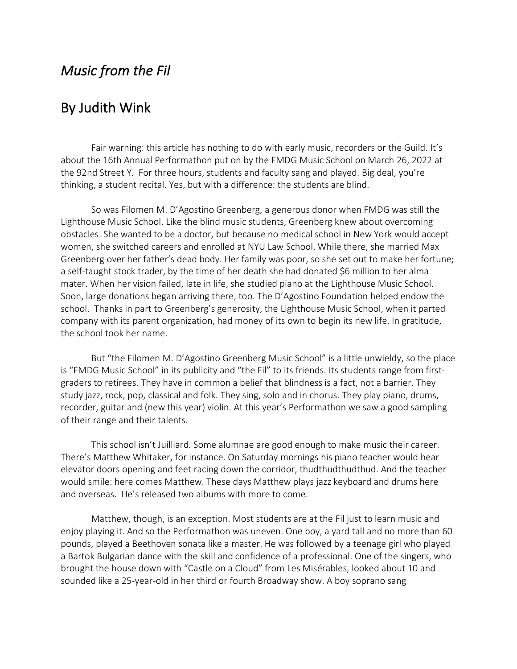## *Music from the Fil*

## By Judith Wink

Fair warning: this article has nothing to do with early music, recorders or the Guild. It's about the 16th Annual Performathon put on by the FMDG Music School on March 26, 2022 at the 92nd Street Y. For three hours, students and faculty sang and played. Big deal, you're thinking, a student recital. Yes, but with a difference: the students are blind.

So was Filomen M. D'Agostino Greenberg, a generous donor when FMDG was still the Lighthouse Music School. Like the blind music students, Greenberg knew about overcoming obstacles. She wanted to be a doctor, but because no medical school in New York would accept women, she switched careers and enrolled at NYU Law School. While there, she married Max Greenberg over her father's dead body. Her family was poor, so she set out to make her fortune; a self-taught stock trader, by the time of her death she had donated \$6 million to her alma mater. When her vision failed, late in life, she studied piano at the Lighthouse Music School. Soon, large donations began arriving there, too. The D'Agostino Foundation helped endow the school. Thanks in part to Greenberg's generosity, the Lighthouse Music School, when it parted company with its parent organization, had money of its own to begin its new life. In gratitude, the school took her name.

But "the Filomen M. D'Agostino Greenberg Music School" is a little unwieldy, so the place is "FMDG Music School" in its publicity and "the Fil" to its friends. Its students range from firstgraders to retirees. They have in common a belief that blindness is a fact, not a barrier. They study jazz, rock, pop, classical and folk. They sing, solo and in chorus. They play piano, drums, recorder, guitar and (new this year) violin. At this year's Performathon we saw a good sampling of their range and their talents.

This school isn't Juilliard. Some alumnae are good enough to make music their career. There's Matthew Whitaker, for instance. On Saturday mornings his piano teacher would hear elevator doors opening and feet racing down the corridor, thudthudthudthud. And the teacher would smile: here comes Matthew. These days Matthew plays jazz keyboard and drums here and overseas. He's released two albums with more to come.

Matthew, though, is an exception. Most students are at the Fil just to learn music and enjoy playing it. And so the Performathon was uneven. One boy, a yard tall and no more than 60 pounds, played a Beethoven sonata like a master. He was followed by a teenage girl who played a Bartok Bulgarian dance with the skill and confidence of a professional. One of the singers, who brought the house down with "Castle on a Cloud" from Les Misérables, looked about 10 and sounded like a 25-year-old in her third or fourth Broadway show. A boy soprano sang